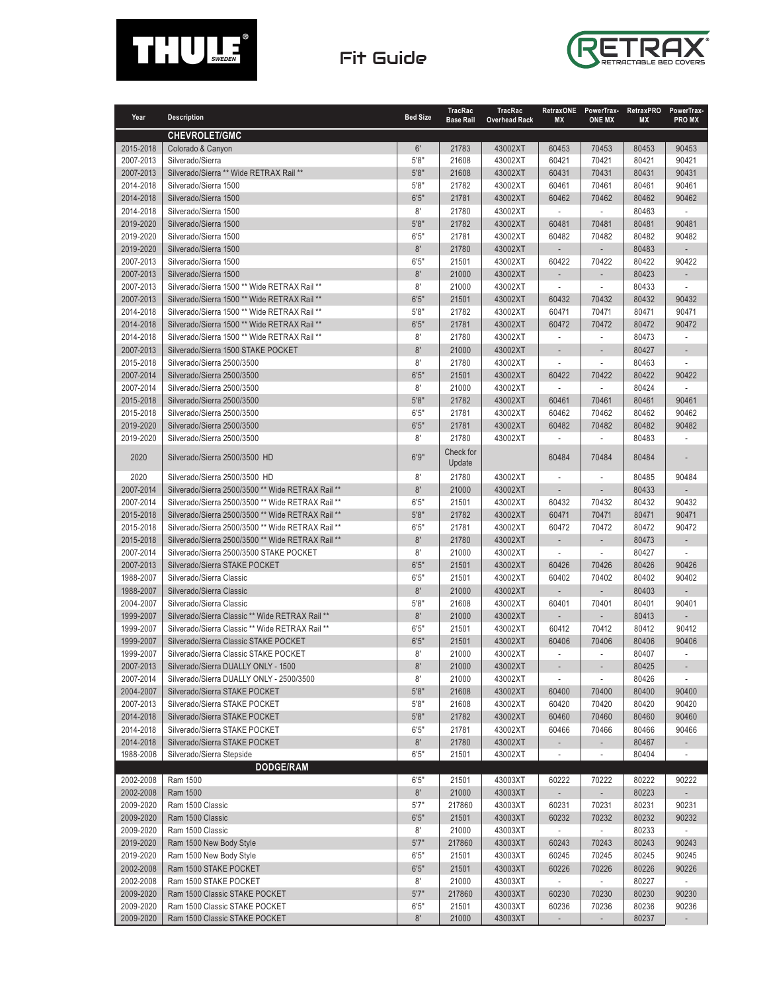

## Fit Guide



| Year                   | <b>Description</b>                                | <b>Bed Size</b> | <b>TracRac</b><br><b>Base Rail</b> | <b>TracRac</b><br><b>Overhead Rack</b> | RetraxONE<br><b>MX</b>            | PowerTrax-<br><b>ONE MX</b>       | <b>RetraxPRO</b><br><b>MX</b> | PowerTrax-<br><b>PROMX</b> |
|------------------------|---------------------------------------------------|-----------------|------------------------------------|----------------------------------------|-----------------------------------|-----------------------------------|-------------------------------|----------------------------|
|                        | <b>CHEVROLET/GMC</b>                              |                 |                                    |                                        |                                   |                                   |                               |                            |
| 2015-2018              | Colorado & Canyon                                 | 6'              | 21783                              | 43002XT                                | 60453                             | 70453                             | 80453                         | 90453                      |
| 2007-2013              | Silverado/Sierra                                  | 5'8"            | 21608                              | 43002XT                                | 60421                             | 70421                             | 80421                         | 90421                      |
| 2007-2013              | Silverado/Sierra ** Wide RETRAX Rail **           | 5'8''           | 21608                              | 43002XT                                | 60431                             | 70431                             | 80431                         | 90431                      |
| 2014-2018              | Silverado/Sierra 1500                             | 5'8"            | 21782                              | 43002XT                                | 60461                             | 70461                             | 80461                         | 90461                      |
| 2014-2018              | Silverado/Sierra 1500                             | 6'5''           | 21781                              | 43002XT                                | 60462                             | 70462                             | 80462                         | 90462                      |
| 2014-2018              | Silverado/Sierra 1500                             | 8'              | 21780                              | 43002XT                                | $\overline{\phantom{a}}$          | ÷,                                | 80463                         | $\overline{\phantom{a}}$   |
| 2019-2020              | Silverado/Sierra 1500                             | 5'8''           | 21782                              | 43002XT                                | 60481                             | 70481                             | 80481                         | 90481                      |
| 2019-2020              | Silverado/Sierra 1500                             | 6'5''           | 21781                              | 43002XT                                | 60482                             | 70482                             | 80482                         | 90482                      |
| 2019-2020              | Silverado/Sierra 1500                             | 8'              | 21780                              | 43002XT                                | L,                                | L.                                | 80483                         |                            |
| 2007-2013              | Silverado/Sierra 1500                             | 6'5''           | 21501                              | 43002XT                                | 60422                             | 70422                             | 80422                         | 90422                      |
| 2007-2013              | Silverado/Sierra 1500                             | 8'              | 21000                              | 43002XT                                | L.                                | ÷,                                | 80423                         | ÷.                         |
| 2007-2013              | Silverado/Sierra 1500 ** Wide RETRAX Rail **      | 8'              | 21000                              | 43002XT                                | ÷,                                | ÷,                                | 80433                         | $\sim$                     |
| 2007-2013              | Silverado/Sierra 1500 ** Wide RETRAX Rail **      | 6'5''           | 21501                              | 43002XT                                | 60432                             | 70432                             | 80432                         | 90432                      |
| 2014-2018              | Silverado/Sierra 1500 ** Wide RETRAX Rail **      | 5'8"            | 21782                              | 43002XT                                | 60471                             | 70471                             | 80471                         | 90471                      |
| 2014-2018              | Silverado/Sierra 1500 ** Wide RETRAX Rail **      | 6'5''           | 21781                              | 43002XT                                | 60472                             | 70472                             | 80472                         | 90472                      |
| 2014-2018              | Silverado/Sierra 1500 ** Wide RETRAX Rail **      | 8'              | 21780                              | 43002XT                                |                                   | ÷,                                | 80473                         |                            |
| 2007-2013              | Silverado/Sierra 1500 STAKE POCKET                | 8'              | 21000                              | 43002XT                                |                                   |                                   | 80427                         |                            |
| 2015-2018              | Silverado/Sierra 2500/3500                        | 8'              | 21780                              | 43002XT                                | $\sim$                            | ÷,                                | 80463                         | ÷                          |
| 2007-2014              | Silverado/Sierra 2500/3500                        | 6'5''           | 21501                              | 43002XT                                | 60422                             | 70422                             | 80422                         | 90422                      |
| 2007-2014              | Silverado/Sierra 2500/3500                        | 8'              | 21000                              | 43002XT                                | $\sim$                            | ÷,                                | 80424                         | $\sim$                     |
| 2015-2018              | Silverado/Sierra 2500/3500                        | 5'8"            | 21782                              | 43002XT                                | 60461                             | 70461                             | 80461                         | 90461                      |
| 2015-2018              | Silverado/Sierra 2500/3500                        | 6'5''           | 21781                              | 43002XT                                | 60462                             | 70462                             | 80462                         | 90462                      |
| 2019-2020              | Silverado/Sierra 2500/3500                        | 6'5''           | 21781                              | 43002XT                                | 60482                             | 70482                             | 80482                         | 90482                      |
| 2019-2020              | Silverado/Sierra 2500/3500                        | 8'              | 21780                              | 43002XT                                |                                   |                                   | 80483                         |                            |
| 2020                   | Silverado/Sierra 2500/3500 HD                     | 6'9''           | Check for<br>Update                |                                        | 60484                             | 70484                             | 80484                         |                            |
| 2020                   | Silverado/Sierra 2500/3500 HD                     | 8'              | 21780                              | 43002XT                                | L,                                | ä,                                | 80485                         | 90484                      |
| 2007-2014              | Silverado/Sierra 2500/3500 ** Wide RETRAX Rail ** | 8'              | 21000                              | 43002XT                                | $\overline{a}$                    | ÷,                                | 80433                         |                            |
| 2007-2014              | Silverado/Sierra 2500/3500 ** Wide RETRAX Rail ** | 6'5''           | 21501                              | 43002XT                                | 60432                             | 70432                             | 80432                         | 90432                      |
| 2015-2018              | Silverado/Sierra 2500/3500 ** Wide RETRAX Rail ** | 5'8"            | 21782                              | 43002XT                                | 60471                             | 70471                             | 80471                         | 90471                      |
| 2015-2018              | Silverado/Sierra 2500/3500 ** Wide RETRAX Rail ** | 6'5''           | 21781                              | 43002XT                                | 60472                             | 70472                             | 80472                         | 90472                      |
| 2015-2018              | Silverado/Sierra 2500/3500 ** Wide RETRAX Rail ** | 8'              | 21780                              | 43002XT                                | L,                                | $\overline{a}$                    | 80473                         | $\overline{a}$             |
| 2007-2014              | Silverado/Sierra 2500/3500 STAKE POCKET           | 8'              | 21000                              | 43002XT                                | ÷                                 | ÷,                                | 80427                         | $\overline{\phantom{a}}$   |
| 2007-2013              | Silverado/Sierra STAKE POCKET                     | 6'5''           | 21501                              | 43002XT                                | 60426                             | 70426                             | 80426                         | 90426                      |
| 1988-2007              | Silverado/Sierra Classic                          | 6'5''           | 21501                              | 43002XT                                | 60402                             | 70402                             | 80402                         | 90402                      |
| 1988-2007              | Silverado/Sierra Classic                          | 8'              | 21000                              | 43002XT                                |                                   |                                   | 80403                         |                            |
| 2004-2007              | Silverado/Sierra Classic                          | 5'8''           | 21608                              | 43002XT                                | 60401                             | 70401                             | 80401                         | 90401                      |
| 1999-2007              | Silverado/Sierra Classic ** Wide RETRAX Rail **   | 8'              | 21000                              | 43002XT                                | ÷.                                |                                   | 80413                         | ÷.                         |
| 1999-2007              | Silverado/Sierra Classic ** Wide RETRAX Rail **   | 6'5''           | 21501                              | 43002XT                                | 60412                             | 70412                             | 80412                         | 90412                      |
| 1999-2007              | Silverado/Sierra Classic STAKE POCKET             | 6'5''           | 21501                              | 43002XT                                | 60406                             | 70406                             | 80406                         | 90406                      |
| 1999-2007              | Silverado/Sierra Classic STAKE POCKET             | 8'              | 21000                              | 43002XT                                |                                   | ÷,                                | 80407                         |                            |
| 2007-2013              | Silverado/Sierra DUALLY ONLY - 1500               | 8'              | 21000                              | 43002XT                                | $\overline{\phantom{a}}$          | $\overline{\phantom{a}}$          | 80425                         | $\overline{\phantom{a}}$   |
| 2007-2014              | Silverado/Sierra DUALLY ONLY - 2500/3500          | 8'              | 21000                              | 43002XT                                | $\mathcal{L}_{\mathcal{A}}$       | ÷.                                | 80426                         | $\sim$                     |
| 2004-2007              | Silverado/Sierra STAKE POCKET                     | 5'8''           | 21608                              | 43002XT                                | 60400                             | 70400                             | 80400                         | 90400                      |
| 2007-2013              | Silverado/Sierra STAKE POCKET                     | 5'8"            | 21608                              | 43002XT                                | 60420                             | 70420                             | 80420                         | 90420                      |
| 2014-2018              | Silverado/Sierra STAKE POCKET                     | 5'8''           | 21782                              | 43002XT                                | 60460                             | 70460                             | 80460                         | 90460                      |
| 2014-2018              | Silverado/Sierra STAKE POCKET                     | 6'5''           | 21781                              | 43002XT                                | 60466                             | 70466                             | 80466                         | 90466                      |
| 2014-2018              | Silverado/Sierra STAKE POCKET                     | 8'              | 21780                              | 43002XT                                |                                   | $\qquad \qquad \blacksquare$      | 80467                         |                            |
| 1988-2006              | Silverado/Sierra Stepside                         | 6'5''           | 21501                              | 43002XT                                |                                   | ÷,                                | 80404                         |                            |
|                        | DODGE/RAM                                         |                 |                                    |                                        |                                   |                                   |                               |                            |
| 2002-2008              | Ram 1500                                          | 6'5''           | 21501                              | 43003XT                                | 60222                             | 70222                             | 80222                         | 90222                      |
| 2002-2008              | Ram 1500                                          | 8'              | 21000                              | 43003XT                                |                                   |                                   | 80223                         |                            |
| 2009-2020<br>2009-2020 | Ram 1500 Classic<br>Ram 1500 Classic              | 5'7''           | 217860                             | 43003XT                                | 60231<br>60232                    | 70231<br>70232                    | 80231                         | 90231<br>90232             |
|                        | Ram 1500 Classic                                  | 6'5''<br>8'     | 21501<br>21000                     | 43003XT                                | $\sim$                            | $\overline{\phantom{a}}$          | 80232                         | $\sim$                     |
| 2009-2020              |                                                   | 5'7''           |                                    | 43003XT                                |                                   |                                   | 80233                         |                            |
| 2019-2020              | Ram 1500 New Body Style                           |                 | 217860                             | 43003XT                                | 60243                             | 70243                             | 80243                         | 90243<br>90245             |
| 2019-2020              | Ram 1500 New Body Style                           | 6'5''<br>6'5''  | 21501                              | 43003XT                                | 60245                             | 70245                             | 80245                         | 90226                      |
| 2002-2008<br>2002-2008 | Ram 1500 STAKE POCKET<br>Ram 1500 STAKE POCKET    | 8'              | 21501<br>21000                     | 43003XT<br>43003XT                     | 60226<br>$\overline{\phantom{a}}$ | 70226<br>$\overline{\phantom{a}}$ | 80226<br>80227                | $\sim$                     |
| 2009-2020              | Ram 1500 Classic STAKE POCKET                     | 5'7''           | 217860                             | 43003XT                                | 60230                             | 70230                             | 80230                         | 90230                      |
| 2009-2020              | Ram 1500 Classic STAKE POCKET                     | 6'5''           | 21501                              | 43003XT                                | 60236                             | 70236                             | 80236                         | 90236                      |
| 2009-2020              | Ram 1500 Classic STAKE POCKET                     | $8^\circ$       | 21000                              | 43003XT                                |                                   | $\overline{\phantom{a}}$          | 80237                         | $\overline{\phantom{a}}$   |